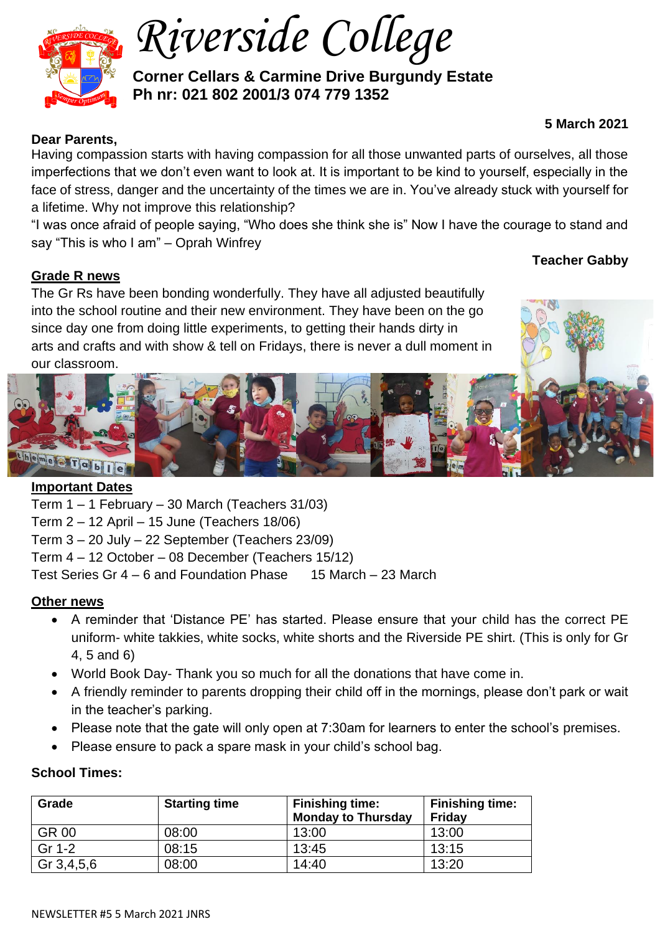

*Riverside College*

**Corner Cellars & Carmine Drive Burgundy Estate Ph nr: 021 802 2001/3 074 779 1352**

# **5 March 2021**

## **Dear Parents,**

Having compassion starts with having compassion for all those unwanted parts of ourselves, all those imperfections that we don't even want to look at. It is important to be kind to yourself, especially in the face of stress, danger and the uncertainty of the times we are in. You've already stuck with yourself for a lifetime. Why not improve this relationship?

"I was once afraid of people saying, "Who does she think she is" Now I have the courage to stand and say "This is who I am" – Oprah Winfrey

## **Grade R news**

The Gr Rs have been bonding wonderfully. They have all adjusted beautifully into the school routine and their new environment. They have been on the go since day one from doing little experiments, to getting their hands dirty in arts and crafts and with show & tell on Fridays, there is never a dull moment in our classroom.





## **Important Dates**

Term 1 – 1 February – 30 March (Teachers 31/03)

Term 2 – 12 April – 15 June (Teachers 18/06)

Term 3 – 20 July – 22 September (Teachers 23/09)

Term 4 – 12 October – 08 December (Teachers 15/12)

Test Series Gr 4 – 6 and Foundation Phase 15 March – 23 March

#### **Other news**

- A reminder that 'Distance PE' has started. Please ensure that your child has the correct PE uniform- white takkies, white socks, white shorts and the Riverside PE shirt. (This is only for Gr 4, 5 and 6)
- World Book Day- Thank you so much for all the donations that have come in.
- A friendly reminder to parents dropping their child off in the mornings, please don't park or wait in the teacher's parking.
- Please note that the gate will only open at 7:30am for learners to enter the school's premises.
- Please ensure to pack a spare mask in your child's school bag.

#### **School Times:**

| Grade      | <b>Starting time</b> | <b>Finishing time:</b><br><b>Monday to Thursday</b> | <b>Finishing time:</b><br>Friday |
|------------|----------------------|-----------------------------------------------------|----------------------------------|
| GR 00      | 08:00                | 13:00                                               | 13:00                            |
| Gr 1-2     | 08:15                | 13:45                                               | 13:15                            |
| Gr 3,4,5,6 | 08:00                | 14:40                                               | 13:20                            |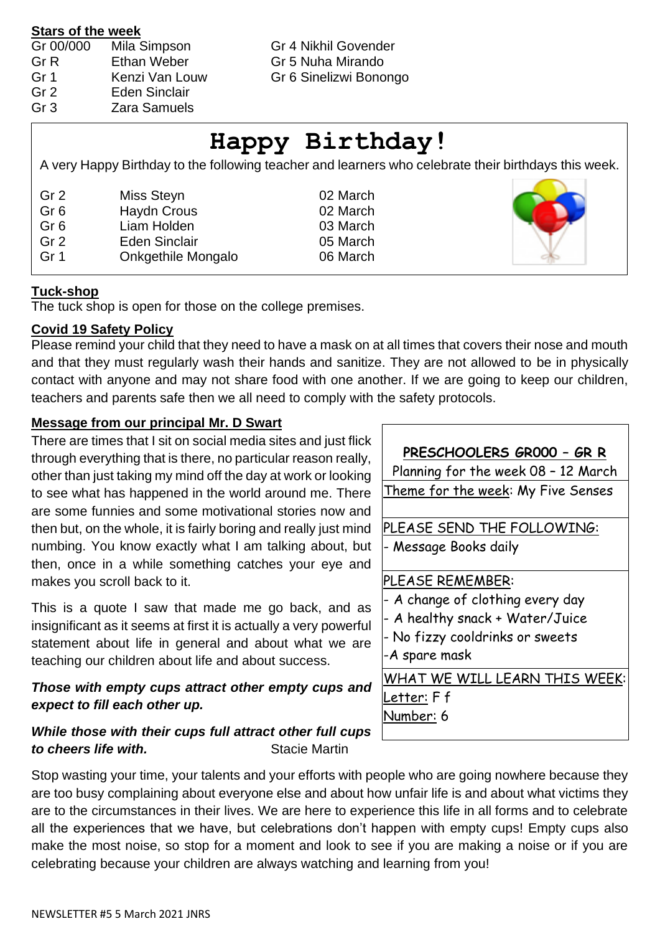#### **Stars of the week**

| Gr 00/000 | Mila Simpson         |
|-----------|----------------------|
| Gr R      | <b>Ethan Weber</b>   |
| Gr 1      | Kenzi Van Louw       |
| Gr 2      | <b>Eden Sinclair</b> |
| Gr 3      | Zara Samuels         |

Gr 4 Nikhil Govender

Gr 5 Nuha Mirando

Gr 6 Sinelizwi Bonongo

# **Happy Birthday!**

A very Happy Birthday to the following teacher and learners who celebrate their birthdays this week.

| Gr 2<br>Gr <sub>6</sub> | Miss Steyn<br><b>Haydn Crous</b> |
|-------------------------|----------------------------------|
| Gr <sub>6</sub>         | Liam Holden                      |
| Gr <sub>2</sub>         | <b>Eden Sinclair</b>             |
| Gr 1                    | <b>Onkgethile Mongalo</b>        |

02 March 02 March 03 March 05 March 06 March



## **Tuck-shop**

The tuck shop is open for those on the college premises.

#### **Covid 19 Safety Policy**

Please remind your child that they need to have a mask on at all times that covers their nose and mouth and that they must regularly wash their hands and sanitize. They are not allowed to be in physically contact with anyone and may not share food with one another. If we are going to keep our children, teachers and parents safe then we all need to comply with the safety protocols.

## **Message from our principal Mr. D Swart**

There are times that I sit on social media sites and just flick through everything that is there, no particular reason really, other than just taking my mind off the day at work or looking to see what has happened in the world around me. There are some funnies and some motivational stories now and then but, on the whole, it is fairly boring and really just mind numbing. You know exactly what I am talking about, but then, once in a while something catches your eye and makes you scroll back to it.

This is a quote I saw that made me go back, and as insignificant as it seems at first it is actually a very powerful statement about life in general and about what we are teaching our children about life and about success.

# *Those with empty cups attract other empty cups and expect to fill each other up.*

## *While those with their cups full attract other full cups*  **to cheers life with. Stacie Martin**

# **PRESCHOOLERS GR000 – GR R**

Planning for the week 08 – 12 March Theme for the week: My Five Senses

PLEASE SEND THE FOLLOWING: - Message Books daily

## PLEASE REMEMBER:

- A change of clothing every day
- A healthy snack + Water/Juice
- No fizzy cooldrinks or sweets

-A spare mask

WHAT WE WILL LEARN THIS WEEK: Letter: F f Number: 6

Stop wasting your time, your talents and your efforts with people who are going nowhere because they are too busy complaining about everyone else and about how unfair life is and about what victims they are to the circumstances in their lives. We are here to experience this life in all forms and to celebrate all the experiences that we have, but celebrations don't happen with empty cups! Empty cups also make the most noise, so stop for a moment and look to see if you are making a noise or if you are celebrating because your children are always watching and learning from you!